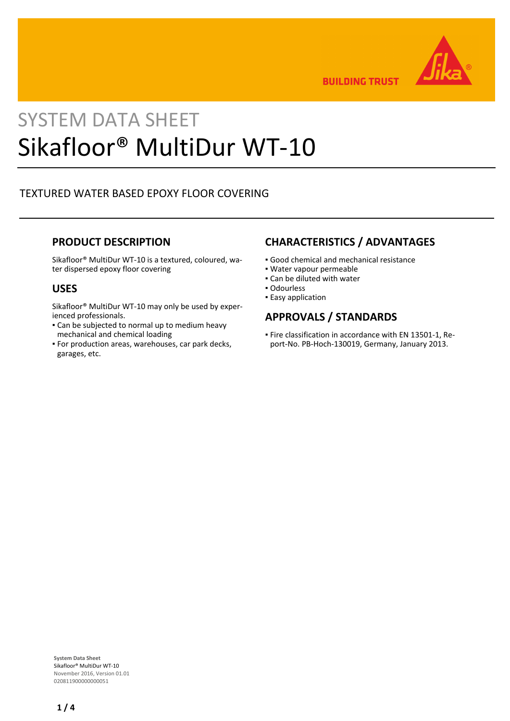

**BUILDING TRUST** 

# SYSTEM DATA SHEET Sikafloor® MultiDur WT-10

# TEXTURED WATER BASED EPOXY FLOOR COVERING

# **PRODUCT DESCRIPTION**

Sikafloor® MultiDur WT-10 is a textured, coloured, water dispersed epoxy floor covering

## **USES**

Sikafloor® MultiDur WT-10 may only be used by experienced professionals.

- Can be subjected to normal up to medium heavy mechanical and chemical loading
- For production areas, warehouses, car park decks, garages, etc.

# **CHARACTERISTICS / ADVANTAGES**

- Good chemical and mechanical resistance
- Water vapour permeable
- Can be diluted with water
- Odourless
- **Easy application**

# **APPROVALS / STANDARDS**

Fire classification in accordance with EN 13501-1, Re-▪ port-No. PB-Hoch-130019, Germany, January 2013.

**System Data Sheet** Sikafloor® MultiDur WT-10 November 2016, Version 01.01 020811900000000051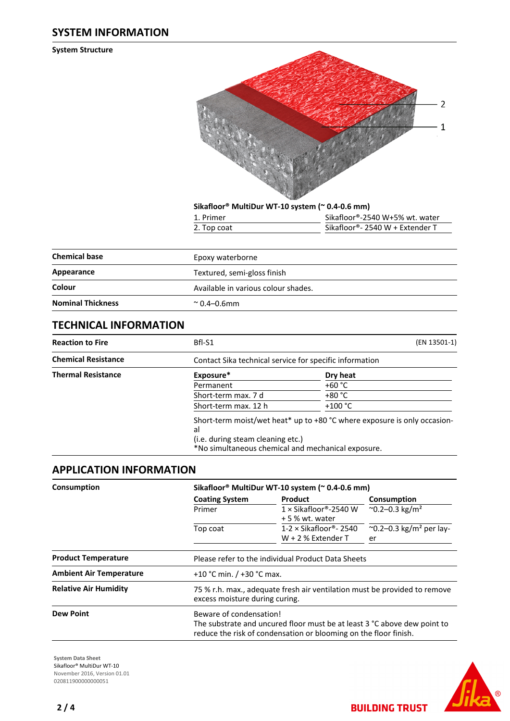## **SYSTEM INFORMATION**

**System Structure**



**Sikafloor® MultiDur WT-10 system (~ 0.4-0.6 mm)**

| 1. Primer   | Sikafloor®-2540 W+5% wt. water  |
|-------------|---------------------------------|
| 2. Top coat | Sikafloor®- 2540 W + Extender T |

| <b>Chemical base</b>     |                                     |
|--------------------------|-------------------------------------|
|                          | Epoxy waterborne                    |
| Appearance               | Textured, semi-gloss finish         |
| Colour                   | Available in various colour shades. |
| <b>Nominal Thickness</b> | $^{\circ}$ 0.4–0.6mm                |

# **TECHNICAL INFORMATION**

| <b>Reaction to Fire</b>    | Bfl-S1                                                                                        | (EN 13501-1)                                                               |
|----------------------------|-----------------------------------------------------------------------------------------------|----------------------------------------------------------------------------|
| <b>Chemical Resistance</b> | Contact Sika technical service for specific information                                       |                                                                            |
| <b>Thermal Resistance</b>  | Exposure*                                                                                     | Dry heat                                                                   |
|                            | Permanent                                                                                     | $+60 °C$                                                                   |
|                            | Short-term max. 7 d                                                                           | +80 °C                                                                     |
|                            | Short-term max. 12 h                                                                          | $+100 °C$                                                                  |
|                            | al<br>(i.e. during steam cleaning etc.)<br>*No simultaneous chemical and mechanical exposure. | Short-term moist/wet heat* up to $+80$ °C where exposure is only occasion- |

# **APPLICATION INFORMATION**

| Consumption                    |                                                                                                                                                                         | Sikafloor® MultiDur WT-10 system (~ 0.4-0.6 mm)       |                                                 |  |  |  |
|--------------------------------|-------------------------------------------------------------------------------------------------------------------------------------------------------------------------|-------------------------------------------------------|-------------------------------------------------|--|--|--|
|                                | <b>Coating System</b>                                                                                                                                                   | <b>Product</b>                                        | Consumption                                     |  |  |  |
|                                | Primer                                                                                                                                                                  | $1 \times$ Sikafloor®-2540 W<br>+ 5 % wt. water       | $^{\circ}$ 0.2–0.3 kg/m <sup>2</sup>            |  |  |  |
|                                | Top coat                                                                                                                                                                | $1-2 \times$ Sikafloor®- 2540<br>$W + 2$ % Extender T | $\sim$ 0.2–0.3 kg/m <sup>2</sup> per lay-<br>er |  |  |  |
| <b>Product Temperature</b>     |                                                                                                                                                                         | Please refer to the individual Product Data Sheets    |                                                 |  |  |  |
| <b>Ambient Air Temperature</b> |                                                                                                                                                                         | +10 °C min. $/$ +30 °C max.                           |                                                 |  |  |  |
| <b>Relative Air Humidity</b>   | 75 % r.h. max., adequate fresh air ventilation must be provided to remove<br>excess moisture during curing.                                                             |                                                       |                                                 |  |  |  |
| <b>Dew Point</b>               | Beware of condensation!<br>The substrate and uncured floor must be at least 3 °C above dew point to<br>reduce the risk of condensation or blooming on the floor finish. |                                                       |                                                 |  |  |  |

**System Data Sheet** Sikafloor® MultiDur WT-10 November 2016, Version 01.01 020811900000000051



**BUILDING TRUST**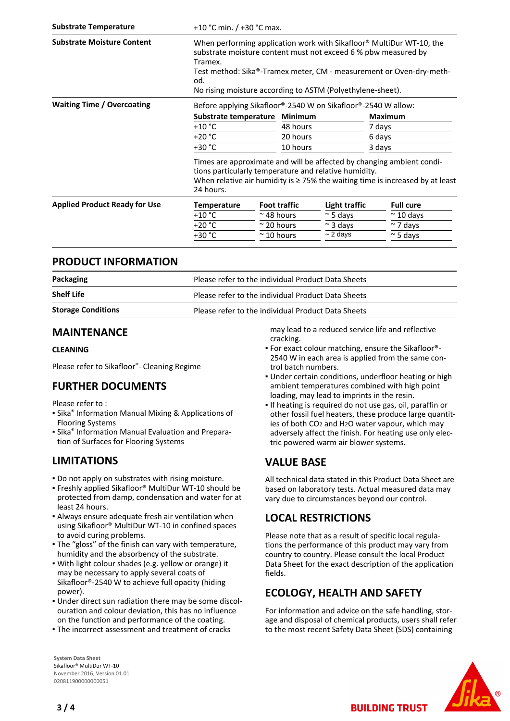| <b>Substrate Temperature</b>         | +10 °C min. $/$ +30 °C max.                                                                                                                                                                                                                                                                               |                    |                     |                  |                   |  |
|--------------------------------------|-----------------------------------------------------------------------------------------------------------------------------------------------------------------------------------------------------------------------------------------------------------------------------------------------------------|--------------------|---------------------|------------------|-------------------|--|
| <b>Substrate Moisture Content</b>    | When performing application work with Sikafloor <sup>®</sup> MultiDur WT-10, the<br>substrate moisture content must not exceed 6 % pbw measured by<br>Tramex.<br>Test method: Sika®-Tramex meter, CM - measurement or Oven-dry-meth-<br>od.<br>No rising moisture according to ASTM (Polyethylene-sheet). |                    |                     |                  |                   |  |
| <b>Waiting Time / Overcoating</b>    | Before applying Sikafloor®-2540 W on Sikafloor®-2540 W allow:                                                                                                                                                                                                                                             |                    |                     |                  |                   |  |
|                                      | Substrate temperature Minimum                                                                                                                                                                                                                                                                             |                    |                     |                  | <b>Maximum</b>    |  |
|                                      | $+10 °C$                                                                                                                                                                                                                                                                                                  |                    |                     | 48 hours         | 7 days            |  |
|                                      | $+20 °C$                                                                                                                                                                                                                                                                                                  |                    | 20 hours            |                  | 6 days            |  |
|                                      | $+30 °C$                                                                                                                                                                                                                                                                                                  |                    | 10 hours            |                  | 3 days            |  |
|                                      | Times are approximate and will be affected by changing ambient condi-<br>tions particularly temperature and relative humidity.<br>When relative air humidity is $\geq$ 75% the waiting time is increased by at least<br>24 hours.                                                                         |                    |                     |                  |                   |  |
| <b>Applied Product Ready for Use</b> | <b>Temperature</b>                                                                                                                                                                                                                                                                                        |                    | <b>Foot traffic</b> | Light traffic    | <b>Full cure</b>  |  |
|                                      | $+10 °C$                                                                                                                                                                                                                                                                                                  | $\approx$ 48 hours |                     | $\approx$ 5 days | $\approx$ 10 days |  |
|                                      | $+20 °C$                                                                                                                                                                                                                                                                                                  | $\approx$ 20 hours |                     | $\approx$ 3 days | $\sim$ 7 days     |  |
|                                      | $+30 °C$                                                                                                                                                                                                                                                                                                  | $\approx$ 10 hours |                     | $\sim$ 2 days    | $\approx$ 5 days  |  |
|                                      |                                                                                                                                                                                                                                                                                                           |                    |                     |                  |                   |  |

### **PRODUCT INFORMATION**

| Packaging                 | Please refer to the individual Product Data Sheets |  |
|---------------------------|----------------------------------------------------|--|
| <b>Shelf Life</b>         | Please refer to the individual Product Data Sheets |  |
| <b>Storage Conditions</b> | Please refer to the individual Product Data Sheets |  |

### **MAINTENANCE**

#### **CLEANING**

Please refer to Sikafloor®- Cleaning Regime

# **FURTHER DOCUMENTS**

Please refer to :

- **Sika<sup>®</sup> Information Manual Mixing & Applications of** Flooring Systems
- **E** Sika<sup>®</sup> Information Manual Evaluation and Preparation of Surfaces for Flooring Systems

# **LIMITATIONS**

- Do not apply on substrates with rising moisture.
- Freshly applied Sikafloor® MultiDur WT-10 should be protected from damp, condensation and water for at least 24 hours.
- Always ensure adequate fresh air ventilation when using Sikafloor® MultiDur WT-10 in confined spaces to avoid curing problems.
- The "gloss" of the finish can vary with temperature, humidity and the absorbency of the substrate.
- With light colour shades (e.g. yellow or orange) it may be necessary to apply several coats of Sikafloor®-2540 W to achieve full opacity (hiding power).
- Under direct sun radiation there may be some discol-▪ ouration and colour deviation, this has no influence on the function and performance of the coating.
- . The incorrect assessment and treatment of cracks

**System Data Sheet** Sikafloor® MultiDur WT-10 November 2016, Version 01.01 020811900000000051

may lead to a reduced service life and reflective cracking.

- For exact colour matching, ensure the Sikafloor®- 2540 W in each area is applied from the same control batch numbers.
- **.** Under certain conditions, underfloor heating or high ambient temperatures combined with high point loading, may lead to imprints in the resin.
- **.** If heating is required do not use gas, oil, paraffin or other fossil fuel heaters, these produce large quantities of both CO2 and H2O water vapour, which may adversely affect the finish. For heating use only electric powered warm air blower systems.

# **VALUE BASE**

All technical data stated in this Product Data Sheet are based on laboratory tests. Actual measured data may vary due to circumstances beyond our control.

# **LOCAL RESTRICTIONS**

Please note that as a result of specific local regulations the performance of this product may vary from country to country. Please consult the local Product Data Sheet for the exact description of the application fields.

# **ECOLOGY, HEALTH AND SAFETY**

For information and advice on the safe handling, storage and disposal of chemical products, users shall refer to the most recent Safety Data Sheet (SDS) containing

**BUILDING TRUST**